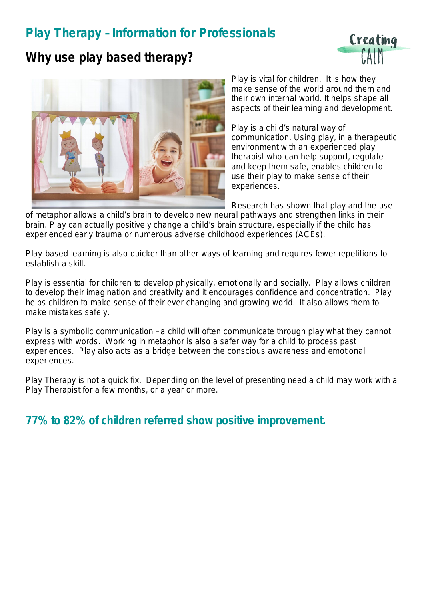# **Play Therapy – Information for Professionals**



### **Why use play based therapy?**



Play is vital for children. It is how they make sense of the world around them and their own internal world. It helps shape all aspects of their learning and development.

Play is a child's natural way of communication. Using play, in a therapeutic environment with an experienced play therapist who can help support, regulate and keep them safe, enables children to use their play to make sense of their experiences.

Research has shown that play and the use

of metaphor allows a child's brain to develop new neural pathways and strengthen links in their brain. Play can actually positively change a child's brain structure, especially if the child has experienced early trauma or numerous adverse childhood experiences (ACEs).

Play-based learning is also quicker than other ways of learning and requires fewer repetitions to establish a skill.

Play is essential for children to develop physically, emotionally and socially. Play allows children to develop their imagination and creativity and it encourages confidence and concentration. Play helps children to make sense of their ever changing and growing world. It also allows them to make mistakes safely.

Play is a symbolic communication – a child will often communicate through play what they cannot express with words. Working in metaphor is also a safer way for a child to process past experiences. Play also acts as a bridge between the conscious awareness and emotional experiences.

Play Therapy is not a quick fix. Depending on the level of presenting need a child may work with a Play Therapist for a few months, or a year or more.

#### **77% to 82% of children referred show positive improvement.**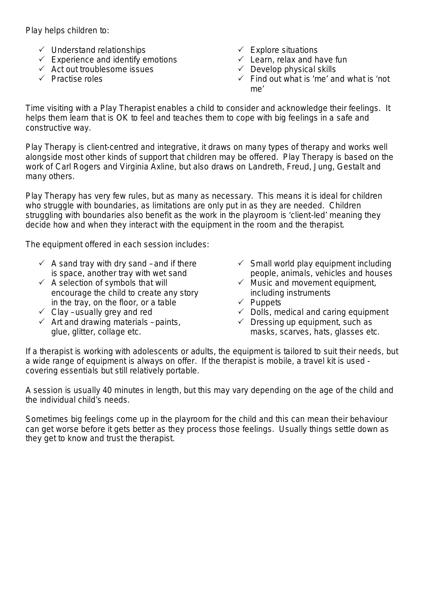Play helps children to:

- $\checkmark$  Understand relationships
- $\checkmark$  Experience and identify emotions
- $\checkmark$  Act out troublesome issues
- $\checkmark$  Practise roles
- $\checkmark$  Explore situations
- $\checkmark$  Learn, relax and have fun
- $\checkmark$  Develop physical skills
- $\checkmark$  Find out what is 'me' and what is 'not me'

Time visiting with a Play Therapist enables a child to consider and acknowledge their feelings. It helps them learn that is OK to feel and teaches them to cope with big feelings in a safe and constructive way.

Play Therapy is client-centred and integrative, it draws on many types of therapy and works well alongside most other kinds of support that children may be offered. Play Therapy is based on the work of Carl Rogers and Virginia Axline, but also draws on Landreth, Freud, Jung, Gestalt and many others.

Play Therapy has very few rules, but as many as necessary. This means it is ideal for children who struggle with boundaries, as limitations are only put in as they are needed. Children struggling with boundaries also benefit as the work in the playroom is 'client-led' meaning they decide how and when they interact with the equipment in the room and the therapist.

The equipment offered in each session includes:

- $\checkmark$  A sand tray with dry sand and if there is space, another tray with wet sand
- $\checkmark$  A selection of symbols that will encourage the child to create any story in the tray, on the floor, or a table
- $\checkmark$  Clay usually grey and red
- $\checkmark$  Art and drawing materials paints, glue, glitter, collage etc.
- $\checkmark$  Small world play equipment including people, animals, vehicles and houses
- $\checkmark$  Music and movement equipment, including instruments
- $\checkmark$  Puppets
- $\checkmark$  Dolls, medical and caring equipment
- $\checkmark$  Dressing up equipment, such as masks, scarves, hats, glasses etc.

If a therapist is working with adolescents or adults, the equipment is tailored to suit their needs, but a wide range of equipment is always on offer. If the therapist is mobile, a travel kit is used covering essentials but still relatively portable.

A session is usually 40 minutes in length, but this may vary depending on the age of the child and the individual child's needs.

Sometimes big feelings come up in the playroom for the child and this can mean their behaviour can get worse before it gets better as they process those feelings. Usually things settle down as they get to know and trust the therapist.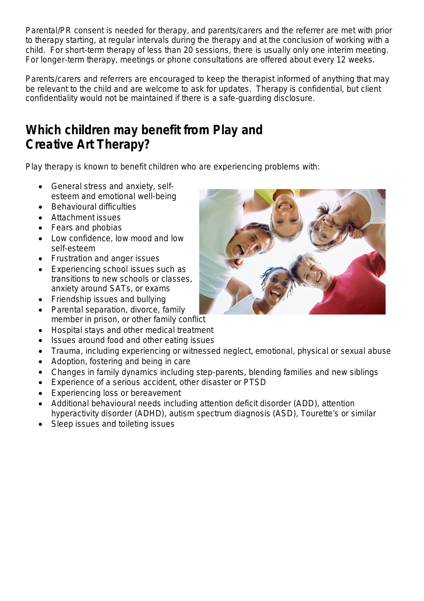Parental/PR consent is needed for therapy, and parents/carers and the referrer are met with prior to therapy starting, at regular intervals during the therapy and at the conclusion of working with a child. For short-term therapy of less than 20 sessions, there is usually only one interim meeting. For longer-term therapy, meetings or phone consultations are offered about every 12 weeks.

Parents/carers and referrers are encouraged to keep the therapist informed of anything that may be relevant to the child and are welcome to ask for updates. Therapy is confidential, but client confidentiality would not be maintained if there is a safe-guarding disclosure.

# **Which children may benefit from Play and Creative Art Therapy?**

Play therapy is known to benefit children who are experiencing problems with:

- General stress and anxiety, selfesteem and emotional well-being
- Behavioural difficulties
- Attachment issues
- Fears and phobias
- Low confidence, low mood and low self-esteem
- Frustration and anger issues
- Experiencing school issues such as transitions to new schools or classes, anxiety around SATs, or exams
- Friendship issues and bullying
- Parental separation, divorce, family member in prison, or other family conflict
- Hospital stays and other medical treatment
- Issues around food and other eating issues
- Trauma, including experiencing or witnessed neglect, emotional, physical or sexual abuse
- Adoption, fostering and being in care
- Changes in family dynamics including step-parents, blending families and new siblings
- Experience of a serious accident, other disaster or PTSD
- Experiencing loss or bereavement
- Additional behavioural needs including attention deficit disorder (ADD), attention hyperactivity disorder (ADHD), autism spectrum diagnosis (ASD), Tourette's or similar
- Sleep issues and toileting issues

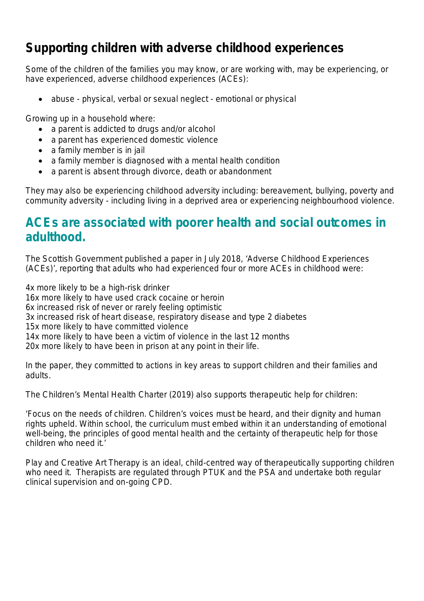## **Supporting children with adverse childhood experiences**

Some of the children of the families you may know, or are working with, may be experiencing, or have experienced, adverse childhood experiences (ACEs):

abuse - physical, verbal or sexual neglect - emotional or physical

Growing up in a household where:

- a parent is addicted to drugs and/or alcohol
- a parent has experienced domestic violence
- a family member is in jail
- a family member is diagnosed with a mental health condition
- a parent is absent through divorce, death or abandonment

They may also be experiencing childhood adversity including: bereavement, bullying, poverty and community adversity - including living in a deprived area or experiencing neighbourhood violence.

## **ACEs are associated with poorer health and social outcomes in adulthood.**

The Scottish Government published a paper in July 2018, 'Adverse Childhood Experiences (ACEs)', reporting that adults who had experienced four or more ACEs in childhood were:

4x more likely to be a high-risk drinker

16x more likely to have used crack cocaine or heroin

6x increased risk of never or rarely feeling optimistic

3x increased risk of heart disease, respiratory disease and type 2 diabetes

15x more likely to have committed violence

14x more likely to have been a victim of violence in the last 12 months

20x more likely to have been in prison at any point in their life.

In the paper, they committed to actions in key areas to support children and their families and adults.

The Children's Mental Health Charter (2019) also supports therapeutic help for children:

'Focus on the needs of children. Children's voices must be heard, and their dignity and human rights upheld. Within school, the curriculum must embed within it an understanding of emotional well-being, the principles of good mental health and the certainty of therapeutic help for those children who need it.'

Play and Creative Art Therapy is an ideal, child-centred way of therapeutically supporting children who need it. Therapists are regulated through PTUK and the PSA and undertake both regular clinical supervision and on-going CPD.